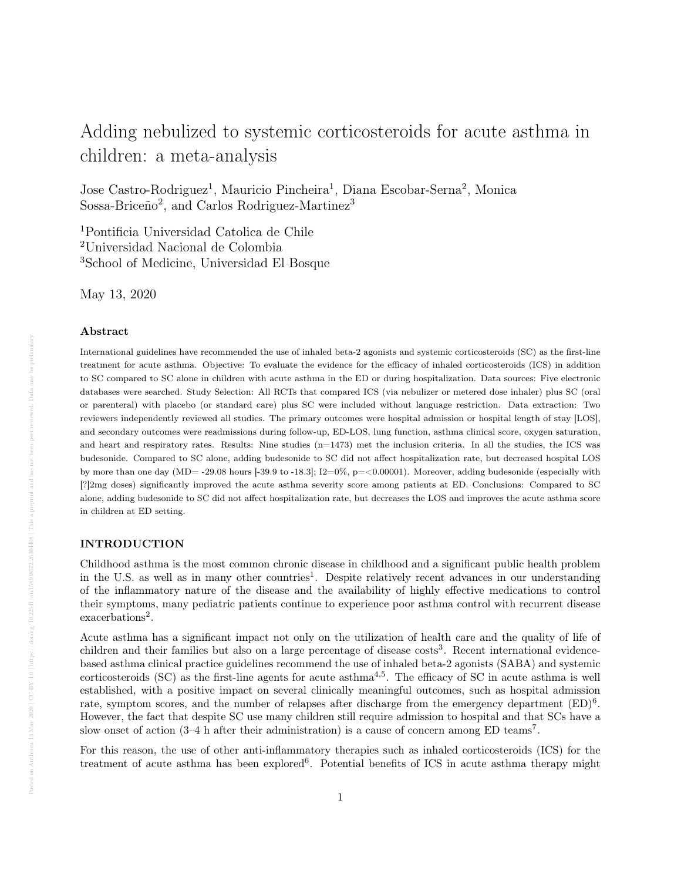# Adding nebulized to systemic corticosteroids for acute asthma in children: a meta-analysis

Jose Castro-Rodriguez<sup>1</sup>, Mauricio Pincheira<sup>1</sup>, Diana Escobar-Serna<sup>2</sup>, Monica Sossa-Briceño<sup>2</sup>, and Carlos Rodriguez-Martinez<sup>3</sup>

<sup>1</sup>Pontificia Universidad Catolica de Chile <sup>2</sup>Universidad Nacional de Colombia <sup>3</sup>School of Medicine, Universidad El Bosque

May 13, 2020

#### Abstract

International guidelines have recommended the use of inhaled beta-2 agonists and systemic corticosteroids (SC) as the first-line treatment for acute asthma. Objective: To evaluate the evidence for the efficacy of inhaled corticosteroids (ICS) in addition to SC compared to SC alone in children with acute asthma in the ED or during hospitalization. Data sources: Five electronic databases were searched. Study Selection: All RCTs that compared ICS (via nebulizer or metered dose inhaler) plus SC (oral or parenteral) with placebo (or standard care) plus SC were included without language restriction. Data extraction: Two reviewers independently reviewed all studies. The primary outcomes were hospital admission or hospital length of stay [LOS], and secondary outcomes were readmissions during follow-up, ED-LOS, lung function, asthma clinical score, oxygen saturation, and heart and respiratory rates. Results: Nine studies (n=1473) met the inclusion criteria. In all the studies, the ICS was budesonide. Compared to SC alone, adding budesonide to SC did not affect hospitalization rate, but decreased hospital LOS by more than one day  $(MD = -29.08$  hours  $[-39.9$  to  $-18.3]$ ;  $I2=0\%$ ,  $p = <0.00001$ ). Moreover, adding budesonide (especially with [?]2mg doses) significantly improved the acute asthma severity score among patients at ED. Conclusions: Compared to SC alone, adding budesonide to SC did not affect hospitalization rate, but decreases the LOS and improves the acute asthma score in children at ED setting.

# INTRODUCTION

Childhood asthma is the most common chronic disease in childhood and a significant public health problem in the U.S. as well as in many other countries<sup>1</sup>. Despite relatively recent advances in our understanding of the inflammatory nature of the disease and the availability of highly effective medications to control their symptoms, many pediatric patients continue to experience poor asthma control with recurrent disease exacerbations<sup>2</sup>.

Acute asthma has a significant impact not only on the utilization of health care and the quality of life of children and their families but also on a large percentage of disease costs<sup>3</sup>. Recent international evidencebased asthma clinical practice guidelines recommend the use of inhaled beta-2 agonists (SABA) and systemic corticosteroids (SC) as the first-line agents for acute asthma<sup>4,5</sup>. The efficacy of SC in acute asthma is well established, with a positive impact on several clinically meaningful outcomes, such as hospital admission rate, symptom scores, and the number of relapses after discharge from the emergency department  $(ED)^6$ . However, the fact that despite SC use many children still require admission to hospital and that SCs have a slow onset of action (3–4 h after their administration) is a cause of concern among ED teams<sup>7</sup>.

For this reason, the use of other anti-inflammatory therapies such as inhaled corticosteroids (ICS) for the treatment of acute asthma has been explored<sup>6</sup>. Potential benefits of ICS in acute asthma therapy might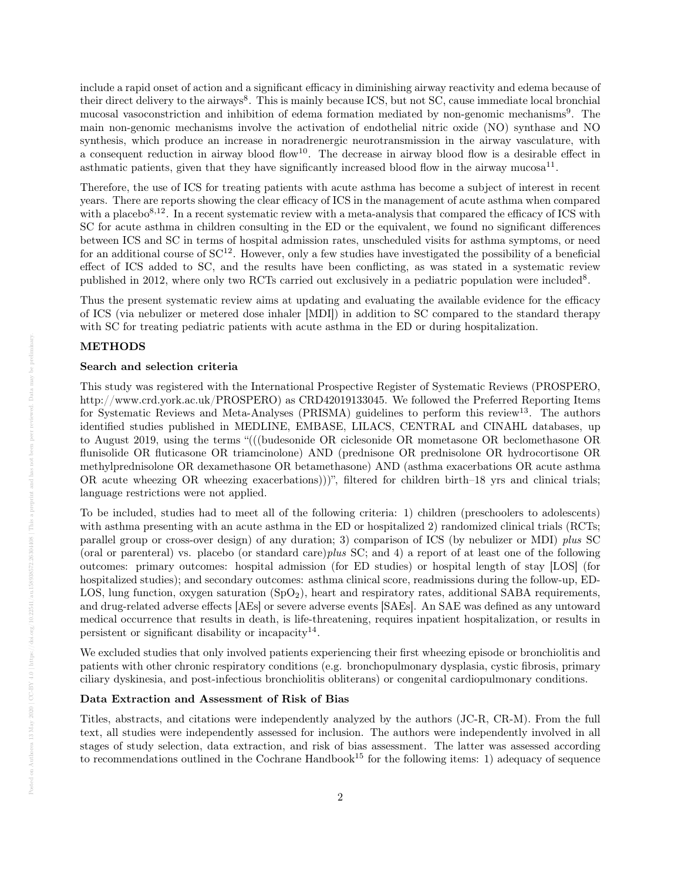include a rapid onset of action and a significant efficacy in diminishing airway reactivity and edema because of their direct delivery to the airways<sup>8</sup>. This is mainly because ICS, but not SC, cause immediate local bronchial mucosal vasoconstriction and inhibition of edema formation mediated by non-genomic mechanisms<sup>9</sup>. The main non-genomic mechanisms involve the activation of endothelial nitric oxide (NO) synthase and NO synthesis, which produce an increase in noradrenergic neurotransmission in the airway vasculature, with a consequent reduction in airway blood flow<sup>10</sup>. The decrease in airway blood flow is a desirable effect in asthmatic patients, given that they have significantly increased blood flow in the airway mucosa<sup>11</sup>.

Therefore, the use of ICS for treating patients with acute asthma has become a subject of interest in recent years. There are reports showing the clear efficacy of ICS in the management of acute asthma when compared with a placebo $8,12$ . In a recent systematic review with a meta-analysis that compared the efficacy of ICS with SC for acute asthma in children consulting in the ED or the equivalent, we found no significant differences between ICS and SC in terms of hospital admission rates, unscheduled visits for asthma symptoms, or need for an additional course of  $SC^{12}$ . However, only a few studies have investigated the possibility of a beneficial effect of ICS added to SC, and the results have been conflicting, as was stated in a systematic review published in 2012, where only two RCTs carried out exclusively in a pediatric population were included<sup>8</sup>.

Thus the present systematic review aims at updating and evaluating the available evidence for the efficacy of ICS (via nebulizer or metered dose inhaler [MDI]) in addition to SC compared to the standard therapy with SC for treating pediatric patients with acute asthma in the ED or during hospitalization.

# METHODS

## Search and selection criteria

This study was registered with the International Prospective Register of Systematic Reviews (PROSPERO, http://www.crd.york.ac.uk/PROSPERO) as CRD42019133045. We followed the Preferred Reporting Items for Systematic Reviews and Meta-Analyses (PRISMA) guidelines to perform this review<sup>13</sup>. The authors identified studies published in MEDLINE, EMBASE, LILACS, CENTRAL and CINAHL databases, up to August 2019, using the terms "(((budesonide OR ciclesonide OR mometasone OR beclomethasone OR flunisolide OR fluticasone OR triamcinolone) AND (prednisone OR prednisolone OR hydrocortisone OR methylprednisolone OR dexamethasone OR betamethasone) AND (asthma exacerbations OR acute asthma OR acute wheezing OR wheezing exacerbations)))", filtered for children birth–18 yrs and clinical trials; language restrictions were not applied.

To be included, studies had to meet all of the following criteria: 1) children (preschoolers to adolescents) with asthma presenting with an acute asthma in the ED or hospitalized 2) randomized clinical trials (RCTs; parallel group or cross-over design) of any duration; 3) comparison of ICS (by nebulizer or MDI) plus SC (oral or parenteral) vs. placebo (or standard care)plus SC; and 4) a report of at least one of the following outcomes: primary outcomes: hospital admission (for ED studies) or hospital length of stay [LOS] (for hospitalized studies); and secondary outcomes: asthma clinical score, readmissions during the follow-up, ED-LOS, lung function, oxygen saturation  $(SpO<sub>2</sub>)$ , heart and respiratory rates, additional SABA requirements, and drug-related adverse effects [AEs] or severe adverse events [SAEs]. An SAE was defined as any untoward medical occurrence that results in death, is life-threatening, requires inpatient hospitalization, or results in persistent or significant disability or incapacity<sup>14</sup>.

We excluded studies that only involved patients experiencing their first wheezing episode or bronchiolitis and patients with other chronic respiratory conditions (e.g. bronchopulmonary dysplasia, cystic fibrosis, primary ciliary dyskinesia, and post-infectious bronchiolitis obliterans) or congenital cardiopulmonary conditions.

## Data Extraction and Assessment of Risk of Bias

Titles, abstracts, and citations were independently analyzed by the authors (JC-R, CR-M). From the full text, all studies were independently assessed for inclusion. The authors were independently involved in all stages of study selection, data extraction, and risk of bias assessment. The latter was assessed according to recommendations outlined in the Cochrane Handbook<sup>15</sup> for the following items: 1) adequacy of sequence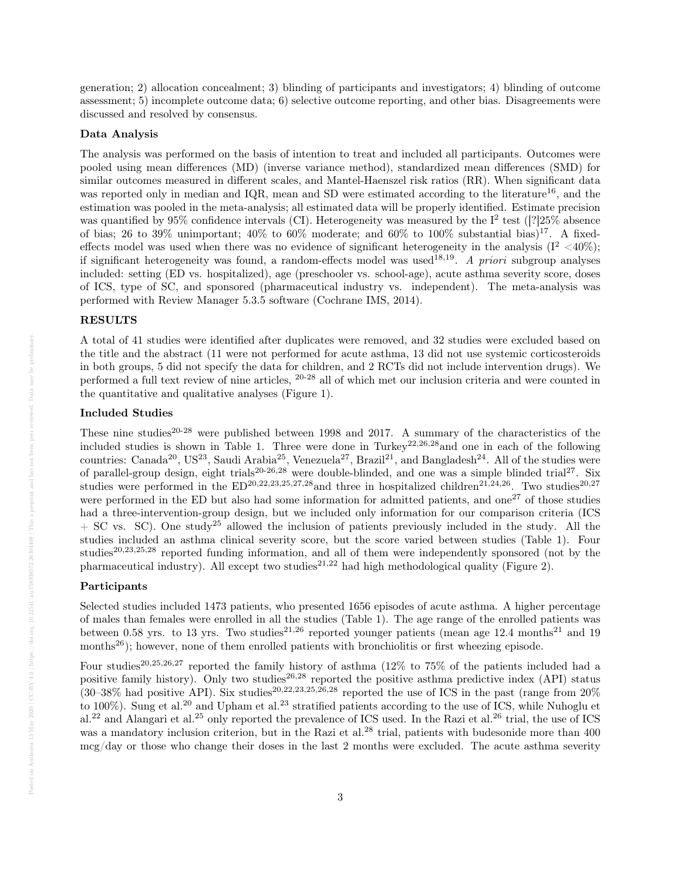generation; 2) allocation concealment; 3) blinding of participants and investigators; 4) blinding of outcome assessment; 5) incomplete outcome data; 6) selective outcome reporting, and other bias. Disagreements were discussed and resolved by consensus.

#### Data Analysis

The analysis was performed on the basis of intention to treat and included all participants. Outcomes were pooled using mean differences (MD) (inverse variance method), standardized mean differences (SMD) for similar outcomes measured in different scales, and Mantel-Haenszel risk ratios (RR). When significant data was reported only in median and IQR, mean and SD were estimated according to the literature<sup>16</sup>, and the estimation was pooled in the meta-analysis; all estimated data will be properly identified. Estimate precision was quantified by 95% confidence intervals (CI). Heterogeneity was measured by the  $I<sup>2</sup>$  test ([?]25% absence of bias; 26 to 39% unimportant;  $40\%$  to  $60\%$  moderate; and  $60\%$  to  $100\%$  substantial bias)<sup>17</sup>. A fixedeffects model was used when there was no evidence of significant heterogeneity in the analysis  $(I^2 < 40\%)$ ; if significant heterogeneity was found, a random-effects model was used<sup>18,19</sup>. A priori subgroup analyses included: setting (ED vs. hospitalized), age (preschooler vs. school-age), acute asthma severity score, doses of ICS, type of SC, and sponsored (pharmaceutical industry vs. independent). The meta-analysis was performed with Review Manager 5.3.5 software (Cochrane IMS, 2014).

## RESULTS

A total of 41 studies were identified after duplicates were removed, and 32 studies were excluded based on the title and the abstract (11 were not performed for acute asthma, 13 did not use systemic corticosteroids in both groups, 5 did not specify the data for children, and 2 RCTs did not include intervention drugs). We performed a full text review of nine articles, 20-28 all of which met our inclusion criteria and were counted in the quantitative and qualitative analyses (Figure 1).

#### Included Studies

These nine studies<sup>20-28</sup> were published between 1998 and 2017. A summary of the characteristics of the included studies is shown in Table 1. Three were done in Turkey<sup>22,26,28</sup>and one in each of the following countries: Canada<sup>20</sup>, US<sup>23</sup>, Saudi Arabia<sup>25</sup>, Venezuela<sup>27</sup>, Brazil<sup>21</sup>, and Bangladesh<sup>24</sup>. All of the studies were of parallel-group design, eight trials<sup>20-26,28</sup> were double-blinded, and one was a simple blinded trial<sup>27</sup>. Six studies were performed in the  $ED^{20,22,23,25,27,28}$  and three in hospitalized children<sup>21,24,26</sup>. Two studies<sup>20,27</sup> were performed in the ED but also had some information for admitted patients, and one<sup>27</sup> of those studies had a three-intervention-group design, but we included only information for our comparison criteria (ICS  $+$  SC vs. SC). One study<sup>25</sup> allowed the inclusion of patients previously included in the study. All the studies included an asthma clinical severity score, but the score varied between studies (Table 1). Four studies<sup>20,23,25,28</sup> reported funding information, and all of them were independently sponsored (not by the pharmaceutical industry). All except two studies<sup>21,22</sup> had high methodological quality (Figure 2).

# Participants

Selected studies included 1473 patients, who presented 1656 episodes of acute asthma. A higher percentage of males than females were enrolled in all the studies (Table 1). The age range of the enrolled patients was between 0.58 yrs. to 13 yrs. Two studies<sup>21,26</sup> reported younger patients (mean age 12.4 months<sup>21</sup> and 19 months<sup>26</sup>); however, none of them enrolled patients with bronchiolitis or first wheezing episode.

Four studies<sup>20,25,26,27</sup> reported the family history of asthma (12% to 75% of the patients included had a positive family history). Only two studies<sup>26,28</sup> reported the positive asthma predictive index (API) status  $(30-38\% \text{ had positive API})$ . Six studies<sup>20,22,23,25,26,28</sup> reported the use of ICS in the past (range from 20%) to 100%). Sung et al.<sup>20</sup> and Upham et al.<sup>23</sup> stratified patients according to the use of ICS, while Nuhoglu et al.<sup>22</sup> and Alangari et al.<sup>25</sup> only reported the prevalence of ICS used. In the Razi et al.<sup>26</sup> trial, the use of ICS was a mandatory inclusion criterion, but in the Razi et al.<sup>28</sup> trial, patients with budesonide more than 400 mcg/day or those who change their doses in the last 2 months were excluded. The acute asthma severity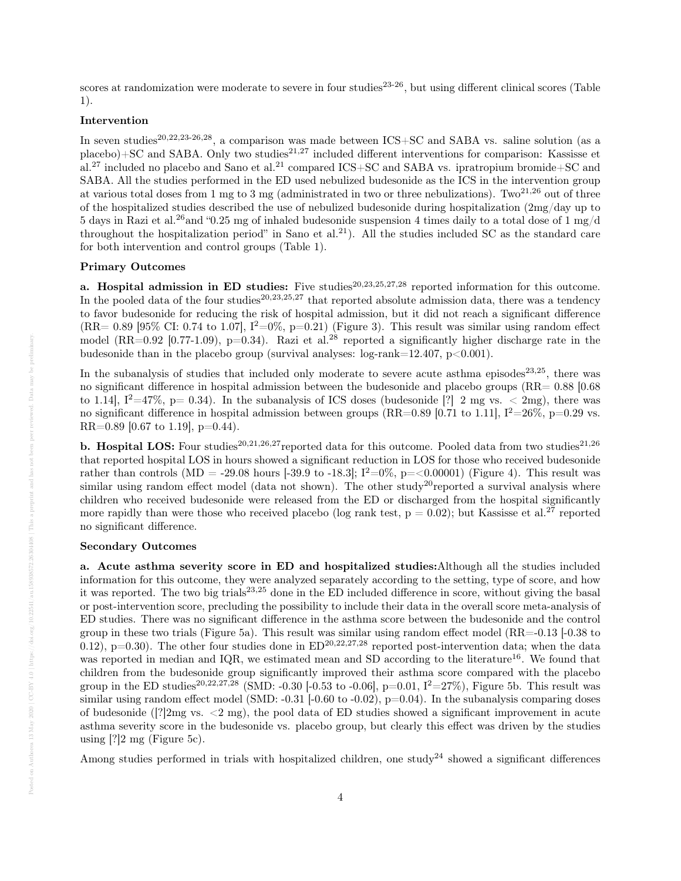scores at randomization were moderate to severe in four studies<sup>23-26</sup>, but using different clinical scores (Table 1).

# Intervention

In seven studies<sup>20,22,23-26,28</sup>, a comparison was made between  $\text{ICS}+\text{SC}$  and SABA vs. saline solution (as a  $p$ lacebo)+SC and SABA. Only two studies<sup>21,27</sup> included different interventions for comparison: Kassisse et al.<sup>27</sup> included no placebo and Sano et al.<sup>21</sup> compared ICS+SC and SABA vs. ipratropium bromide+SC and SABA. All the studies performed in the ED used nebulized budesonide as the ICS in the intervention group at various total doses from 1 mg to 3 mg (administrated in two or three nebulizations). Two<sup>21,26</sup> out of three of the hospitalized studies described the use of nebulized budesonide during hospitalization (2mg/day up to 5 days in Razi et al.<sup>26</sup>and "0.25 mg of inhaled budesonide suspension 4 times daily to a total dose of 1 mg/d throughout the hospitalization period" in Sano et al.<sup>21</sup>). All the studies included SC as the standard care for both intervention and control groups (Table 1).

#### Primary Outcomes

a. Hospital admission in ED studies: Five studies<sup>20,23,25,27,28</sup> reported information for this outcome. In the pooled data of the four studies<sup>20,23,25,27</sup> that reported absolute admission data, there was a tendency to favor budesonide for reducing the risk of hospital admission, but it did not reach a significant difference  $(RR= 0.89 \, |95\% \, \text{CI: } 0.74 \, \text{to } 1.07]$ ,  $I^2=0\%$ ,  $p=0.21$ ) (Figure 3). This result was similar using random effect model (RR=0.92 [0.77-1.09), p=0.34). Razi et al.<sup>28</sup> reported a significantly higher discharge rate in the budesonide than in the placebo group (survival analyses:  $log-rank=12.407$ ,  $p<0.001$ ).

In the subanalysis of studies that included only moderate to severe acute asthma episodes<sup>23,25</sup>, there was no significant difference in hospital admission between the budesonide and placebo groups (RR= 0.88 [0.68 to 1.14],  $I^2=47\%$ , p= 0.34). In the subanalysis of ICS doses (budesonide [?] 2 mg vs.  $\langle$  2mg), there was no significant difference in hospital admission between groups (RR=0.89 [0.71 to 1.11],  $I^2=26\%$ , p=0.29 vs. RR= $0.89$  [0.67 to 1.19], p= $0.44$ ).

**b. Hospital LOS:** Four studies<sup>20,21,26,27</sup>reported data for this outcome. Pooled data from two studies<sup>21,26</sup> that reported hospital LOS in hours showed a significant reduction in LOS for those who received budesonide rather than controls (MD = -29.08 hours [-39.9 to -18.3];  $I^2=0\%$ , p=<0.00001) (Figure 4). This result was similar using random effect model (data not shown). The other study<sup>20</sup>reported a survival analysis where children who received budesonide were released from the ED or discharged from the hospital significantly more rapidly than were those who received placebo (log rank test,  $p = 0.02$ ); but Kassisse et al.<sup>27</sup> reported no significant difference.

#### Secondary Outcomes

a. Acute asthma severity score in ED and hospitalized studies:Although all the studies included information for this outcome, they were analyzed separately according to the setting, type of score, and how it was reported. The two big trials<sup>23,25</sup> done in the ED included difference in score, without giving the basal or post-intervention score, precluding the possibility to include their data in the overall score meta-analysis of ED studies. There was no significant difference in the asthma score between the budesonide and the control group in these two trials (Figure 5a). This result was similar using random effect model (RR=-0.13 [-0.38 to 0.12), p=0.30). The other four studies done in  $ED^{20,22,27,28}$  reported post-intervention data; when the data was reported in median and IQR, we estimated mean and SD according to the literature<sup>16</sup>. We found that children from the budesonide group significantly improved their asthma score compared with the placebo group in the ED studies<sup>20,22,27,28</sup> (SMD: -0.30 [-0.53 to -0.06], p=0.01,  $I^2=27\%$ ), Figure 5b. This result was similar using random effect model (SMD:  $-0.31$   $[-0.60$  to  $-0.02)$ ,  $p=0.04$ ). In the subanalysis comparing doses of budesonide ( $[?]2mg$  vs.  $\langle 2 \text{ mg} \rangle$ , the pool data of ED studies showed a significant improvement in acute asthma severity score in the budesonide vs. placebo group, but clearly this effect was driven by the studies using [?]2 mg (Figure 5c).

Among studies performed in trials with hospitalized children, one study<sup>24</sup> showed a significant differences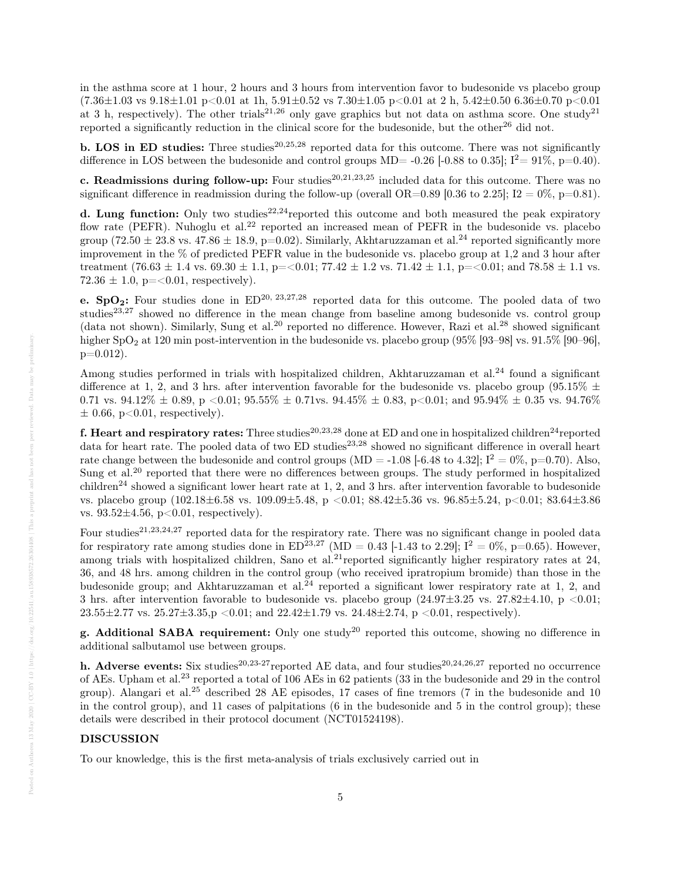in the asthma score at 1 hour, 2 hours and 3 hours from intervention favor to budesonide vs placebo group  $(7.36\pm1.03 \text{ vs } 9.18\pm1.01 \text{ p} < 0.01 \text{ at } 1\text{ h}, 5.91\pm0.52 \text{ vs } 7.30\pm1.05 \text{ p} < 0.01 \text{ at } 2\text{ h}, 5.42\pm0.50 \text{ 6.36}\pm0.70 \text{ p} < 0.01 \text{ at } 1\text{ h}$ at 3 h, respectively). The other trials<sup>21,26</sup> only gave graphics but not data on asthma score. One study<sup>21</sup> reported a significantly reduction in the clinical score for the budesonide, but the other<sup>26</sup> did not.

**b. LOS in ED studies:** Three studies<sup>20,25,28</sup> reported data for this outcome. There was not significantly difference in LOS between the budesonide and control groups MD= -0.26 [-0.88 to 0.35];  $I^2 = 91\%$ , p=0.40).

c. Readmissions during follow-up: Four studies<sup>20,21,23,25</sup> included data for this outcome. There was no significant difference in readmission during the follow-up (overall OR=0.89 [0.36 to 2.25]; I2 = 0%, p=0.81).

d. Lung function: Only two studies<sup>22,24</sup>reported this outcome and both measured the peak expiratory flow rate (PEFR). Nuhoglu et al.<sup>22</sup> reported an increased mean of PEFR in the budesonide vs. placebo group (72.50  $\pm$  23.8 vs. 47.86  $\pm$  18.9, p=0.02). Similarly, Akhtaruzzaman et al.<sup>24</sup> reported significantly more improvement in the % of predicted PEFR value in the budesonide vs. placebo group at 1,2 and 3 hour after treatment (76.63  $\pm$  1.4 vs. 69.30  $\pm$  1.1, p=<0.01; 77.42  $\pm$  1.2 vs. 71.42  $\pm$  1.1, p=<0.01; and 78.58  $\pm$  1.1 vs.  $72.36 \pm 1.0$ , p= $< 0.01$ , respectively).

e. SpO<sub>2</sub>: Four studies done in  $ED^{20, 23,27,28}$  reported data for this outcome. The pooled data of two studies<sup>23,27</sup> showed no difference in the mean change from baseline among budesonide vs. control group (data not shown). Similarly, Sung et al.<sup>20</sup> reported no difference. However, Razi et al.<sup>28</sup> showed significant higher SpO<sub>2</sub> at 120 min post-intervention in the budesonide vs. placebo group (95% [93–98] vs. 91.5% [90–96],  $p=0.012$ ).

Among studies performed in trials with hospitalized children, Akhtaruzzaman et al.<sup>24</sup> found a significant difference at 1, 2, and 3 hrs. after intervention favorable for the budesonide vs. placebo group (95.15%  $\pm$ 0.71 vs.  $94.12\% \pm 0.89$ , p  $\lt 0.01$ ;  $95.55\% \pm 0.71$ vs.  $94.45\% \pm 0.83$ , p $\lt 0.01$ ; and  $95.94\% \pm 0.35$  vs.  $94.76\%$  $\pm$  0.66, p<0.01, respectively).

f. Heart and respiratory rates: Three studies<sup>20,23,28</sup> done at ED and one in hospitalized children<sup>24</sup>reported data for heart rate. The pooled data of two ED studies<sup>23,28</sup> showed no significant difference in overall heart rate change between the budesonide and control groups (MD = -1.08 [-6.48 to 4.32];  $I^2 = 0\%$ , p=0.70). Also, Sung et al.<sup>20</sup> reported that there were no differences between groups. The study performed in hospitalized children<sup>24</sup> showed a significant lower heart rate at 1, 2, and 3 hrs. after intervention favorable to budesonide vs. placebo group (102.18±6.58 vs. 109.09±5.48, p <0.01; 88.42±5.36 vs. 96.85±5.24, p<0.01; 83.64±3.86 vs.  $93.52 \pm 4.56$ ,  $p < 0.01$ , respectively).

Four studies<sup>21,23,24,27</sup> reported data for the respiratory rate. There was no significant change in pooled data for respiratory rate among studies done in  $ED^{23,27}$  (MD = 0.43 [-1.43 to 2.29];  $I^2 = 0\%$ ,  $p=0.65$ ). However, among trials with hospitalized children, Sano et al.<sup>21</sup>reported significantly higher respiratory rates at 24, 36, and 48 hrs. among children in the control group (who received ipratropium bromide) than those in the budesonide group; and Akhtaruzzaman et al.<sup>24</sup> reported a significant lower respiratory rate at 1, 2, and 3 hrs. after intervention favorable to budesonide vs. placebo group  $(24.97\pm3.25 \text{ vs. } 27.82\pm4.10, \text{ p } < 0.01;$  $23.55\pm2.77$  vs.  $25.27\pm3.35$ ,  $p < 0.01$ ; and  $22.42\pm1.79$  vs.  $24.48\pm2.74$ ,  $p < 0.01$ , respectively).

g. Additional SABA requirement: Only one study<sup>20</sup> reported this outcome, showing no difference in additional salbutamol use between groups.

h. Adverse events: Six studies<sup>20,23-27</sup>reported AE data, and four studies<sup>20,24,26,27</sup> reported no occurrence of AEs. Upham et al.<sup>23</sup> reported a total of 106 AEs in 62 patients (33 in the budesonide and 29 in the control group). Alangari et al.<sup>25</sup> described 28 AE episodes, 17 cases of fine tremors (7 in the budesonide and 10 in the control group), and 11 cases of palpitations (6 in the budesonide and 5 in the control group); these details were described in their protocol document (NCT01524198).

## DISCUSSION

To our knowledge, this is the first meta-analysis of trials exclusively carried out in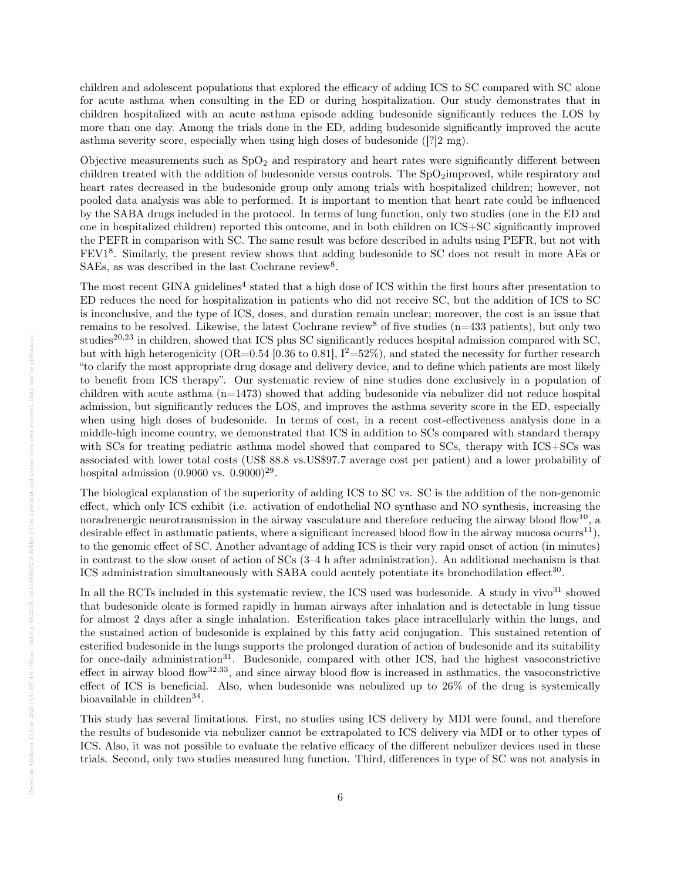children and adolescent populations that explored the efficacy of adding ICS to SC compared with SC alone for acute asthma when consulting in the ED or during hospitalization. Our study demonstrates that in children hospitalized with an acute asthma episode adding budesonide significantly reduces the LOS by more than one day. Among the trials done in the ED, adding budesonide significantly improved the acute asthma severity score, especially when using high doses of budesonide  $(22 \text{ mg})$ .

Objective measurements such as  $SpO<sub>2</sub>$  and respiratory and heart rates were significantly different between children treated with the addition of budesonide versus controls. The  $SpO_2$ improved, while respiratory and heart rates decreased in the budesonide group only among trials with hospitalized children; however, not pooled data analysis was able to performed. It is important to mention that heart rate could be influenced by the SABA drugs included in the protocol. In terms of lung function, only two studies (one in the ED and one in hospitalized children) reported this outcome, and in both children on ICS+SC significantly improved the PEFR in comparison with SC. The same result was before described in adults using PEFR, but not with FEV1<sup>8</sup>. Similarly, the present review shows that adding budesonide to SC does not result in more AEs or SAEs, as was described in the last Cochrane review<sup>8</sup>.

The most recent GINA guidelines<sup>4</sup> stated that a high dose of ICS within the first hours after presentation to ED reduces the need for hospitalization in patients who did not receive SC, but the addition of ICS to SC is inconclusive, and the type of ICS, doses, and duration remain unclear; moreover, the cost is an issue that remains to be resolved. Likewise, the latest Cochrane review<sup>8</sup> of five studies ( $n=433$  patients), but only two studies<sup>20,23</sup> in children, showed that ICS plus SC significantly reduces hospital admission compared with SC. but with high heterogenicity (OR=0.54 [0.36 to 0.81],  $I^2=52\%$ ), and stated the necessity for further research "to clarify the most appropriate drug dosage and delivery device, and to define which patients are most likely to benefit from ICS therapy". Our systematic review of nine studies done exclusively in a population of children with acute asthma  $(n=1473)$  showed that adding budesonide via nebulizer did not reduce hospital admission, but significantly reduces the LOS, and improves the asthma severity score in the ED, especially when using high doses of budesonide. In terms of cost, in a recent cost-effectiveness analysis done in a middle-high income country, we demonstrated that ICS in addition to SCs compared with standard therapy with SCs for treating pediatric asthma model showed that compared to SCs, therapy with ICS+SCs was associated with lower total costs (US\$ 88.8 vs.US\$97.7 average cost per patient) and a lower probability of hospital admission  $(0.9060 \text{ vs. } 0.9000)^{29}$ .

The biological explanation of the superiority of adding ICS to SC vs. SC is the addition of the non-genomic effect, which only ICS exhibit (i.e. activation of endothelial NO synthase and NO synthesis, increasing the noradrenergic neurotransmission in the airway vasculature and therefore reducing the airway blood flow<sup>10</sup>, a desirable effect in asthmatic patients, where a significant increased blood flow in the airway mucosa ocurrs<sup>11</sup>), to the genomic effect of SC. Another advantage of adding ICS is their very rapid onset of action (in minutes) in contrast to the slow onset of action of SCs (3–4 h after administration). An additional mechanism is that ICS administration simultaneously with SABA could acutely potentiate its bronchodilation effect<sup>30</sup>.

In all the RCTs included in this systematic review, the ICS used was budesonide. A study in vivo $31$  showed that budesonide oleate is formed rapidly in human airways after inhalation and is detectable in lung tissue for almost 2 days after a single inhalation. Esterification takes place intracellularly within the lungs, and the sustained action of budesonide is explained by this fatty acid conjugation. This sustained retention of esterified budesonide in the lungs supports the prolonged duration of action of budesonide and its suitability for once-daily administration<sup>31</sup>. Budesonide, compared with other ICS, had the highest vasoconstrictive effect in airway blood flow $32,33$ , and since airway blood flow is increased in asthmatics, the vasoconstrictive effect of ICS is beneficial. Also, when budesonide was nebulized up to 26% of the drug is systemically bioavailable in children<sup>34</sup>.

This study has several limitations. First, no studies using ICS delivery by MDI were found, and therefore the results of budesonide via nebulizer cannot be extrapolated to ICS delivery via MDI or to other types of ICS. Also, it was not possible to evaluate the relative efficacy of the different nebulizer devices used in these trials. Second, only two studies measured lung function. Third, differences in type of SC was not analysis in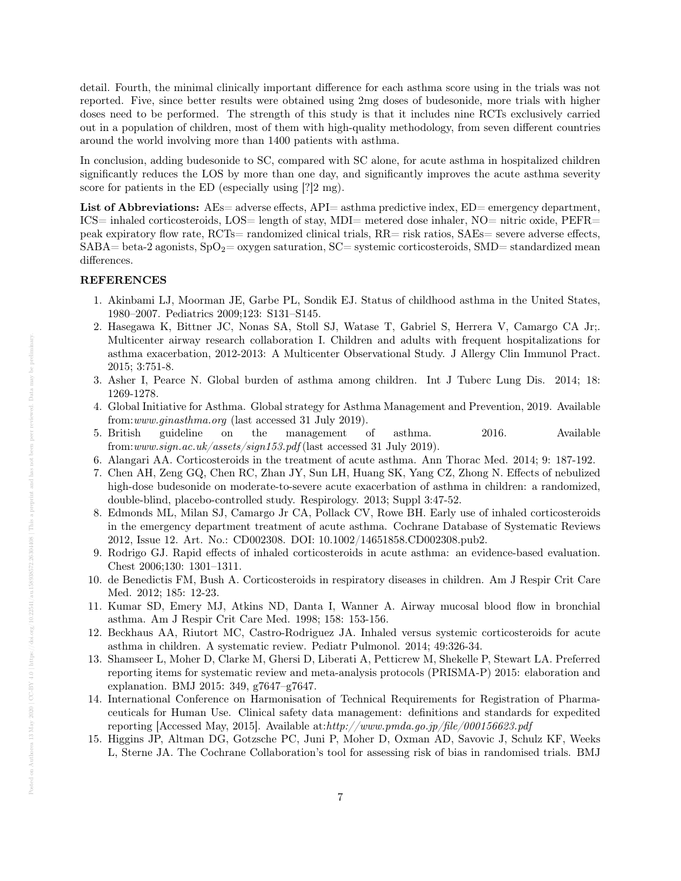detail. Fourth, the minimal clinically important difference for each asthma score using in the trials was not reported. Five, since better results were obtained using 2mg doses of budesonide, more trials with higher doses need to be performed. The strength of this study is that it includes nine RCTs exclusively carried out in a population of children, most of them with high-quality methodology, from seven different countries around the world involving more than 1400 patients with asthma.

In conclusion, adding budesonide to SC, compared with SC alone, for acute asthma in hospitalized children significantly reduces the LOS by more than one day, and significantly improves the acute asthma severity score for patients in the ED (especially using [?] mg).

List of Abbreviations: AEs= adverse effects, API= asthma predictive index, ED= emergency department, ICS= inhaled corticosteroids, LOS= length of stay, MDI= metered dose inhaler, NO= nitric oxide, PEFR= peak expiratory flow rate, RCTs= randomized clinical trials, RR= risk ratios, SAEs= severe adverse effects,  $SABA=$  beta-2 agonists,  $SpO<sub>2</sub>=$  oxygen saturation,  $SC=$  systemic corticosteroids,  $SMD=$  standardized mean differences.

# REFERENCES

- 1. Akinbami LJ, Moorman JE, Garbe PL, Sondik EJ. Status of childhood asthma in the United States, 1980–2007. Pediatrics 2009;123: S131–S145.
- 2. Hasegawa K, Bittner JC, Nonas SA, Stoll SJ, Watase T, Gabriel S, Herrera V, Camargo CA Jr;. Multicenter airway research collaboration I. Children and adults with frequent hospitalizations for asthma exacerbation, 2012-2013: A Multicenter Observational Study. J Allergy Clin Immunol Pract. 2015; 3:751-8.
- 3. Asher I, Pearce N. Global burden of asthma among children. Int J Tuberc Lung Dis. 2014; 18: 1269-1278.
- 4. Global Initiative for Asthma. Global strategy for Asthma Management and Prevention, 2019. Available from:www.ginasthma.org (last accessed 31 July 2019).
- 5. British guideline on the management of asthma. 2016. Available from:www.sign.ac.uk/assets/sign153.pdf (last accessed 31 July 2019).
- 6. Alangari AA. Corticosteroids in the treatment of acute asthma. Ann Thorac Med. 2014; 9: 187-192.
- 7. Chen AH, Zeng GQ, Chen RC, Zhan JY, Sun LH, Huang SK, Yang CZ, Zhong N. Effects of nebulized high-dose budesonide on moderate-to-severe acute exacerbation of asthma in children: a randomized, double-blind, placebo-controlled study. Respirology. 2013; Suppl 3:47-52.
- 8. Edmonds ML, Milan SJ, Camargo Jr CA, Pollack CV, Rowe BH. Early use of inhaled corticosteroids in the emergency department treatment of acute asthma. Cochrane Database of Systematic Reviews 2012, Issue 12. Art. No.: CD002308. DOI: 10.1002/14651858.CD002308.pub2.
- 9. Rodrigo GJ. Rapid effects of inhaled corticosteroids in acute asthma: an evidence-based evaluation. Chest 2006;130: 1301–1311.
- 10. de Benedictis FM, Bush A. Corticosteroids in respiratory diseases in children. Am J Respir Crit Care Med. 2012; 185: 12-23.
- 11. Kumar SD, Emery MJ, Atkins ND, Danta I, Wanner A. Airway mucosal blood flow in bronchial asthma. Am J Respir Crit Care Med. 1998; 158: 153-156.
- 12. Beckhaus AA, Riutort MC, Castro-Rodriguez JA. Inhaled versus systemic corticosteroids for acute asthma in children. A systematic review. Pediatr Pulmonol. 2014; 49:326-34.
- 13. Shamseer L, Moher D, Clarke M, Ghersi D, Liberati A, Petticrew M, Shekelle P, Stewart LA. Preferred reporting items for systematic review and meta-analysis protocols (PRISMA-P) 2015: elaboration and explanation. BMJ 2015: 349, g7647–g7647.
- 14. International Conference on Harmonisation of Technical Requirements for Registration of Pharmaceuticals for Human Use. Clinical safety data management: definitions and standards for expedited reporting [Accessed May, 2015]. Available at: $http://www.pmda.gov.jp/file/000156623.pdf$
- 15. Higgins JP, Altman DG, Gotzsche PC, Juni P, Moher D, Oxman AD, Savovic J, Schulz KF, Weeks L, Sterne JA. The Cochrane Collaboration's tool for assessing risk of bias in randomised trials. BMJ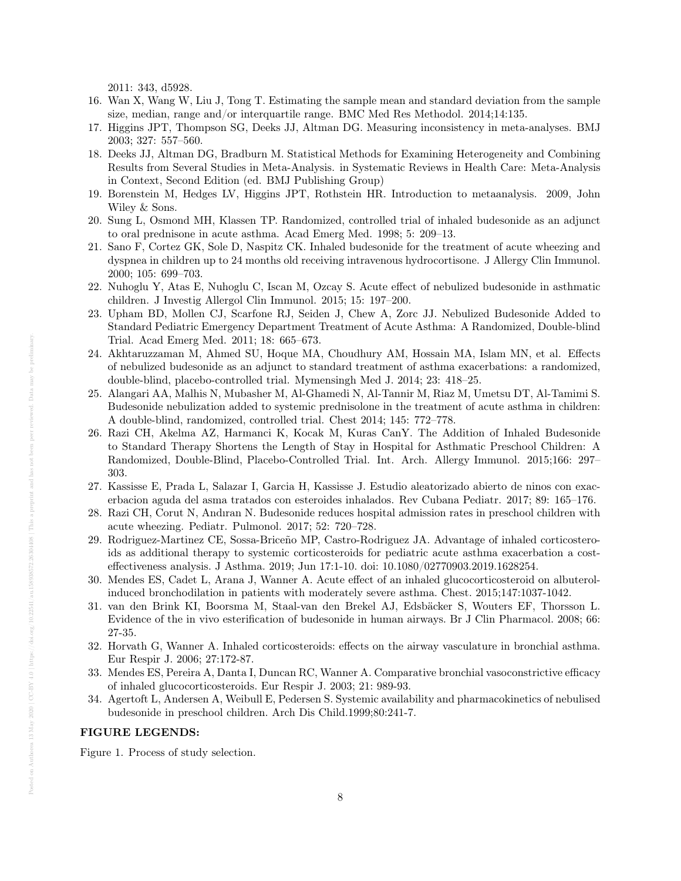2011: 343, d5928.

- 16. Wan X, Wang W, Liu J, Tong T. Estimating the sample mean and standard deviation from the sample size, median, range and/or interquartile range. BMC Med Res Methodol. 2014;14:135.
- 17. Higgins JPT, Thompson SG, Deeks JJ, Altman DG. Measuring inconsistency in meta-analyses. BMJ 2003; 327: 557–560.
- 18. Deeks JJ, Altman DG, Bradburn M. Statistical Methods for Examining Heterogeneity and Combining Results from Several Studies in Meta-Analysis. in Systematic Reviews in Health Care: Meta-Analysis in Context, Second Edition (ed. BMJ Publishing Group)
- 19. Borenstein M, Hedges LV, Higgins JPT, Rothstein HR. Introduction to metaanalysis. 2009, John Wiley & Sons.
- 20. Sung L, Osmond MH, Klassen TP. Randomized, controlled trial of inhaled budesonide as an adjunct to oral prednisone in acute asthma. Acad Emerg Med. 1998; 5: 209–13.
- 21. Sano F, Cortez GK, Sole D, Naspitz CK. Inhaled budesonide for the treatment of acute wheezing and dyspnea in children up to 24 months old receiving intravenous hydrocortisone. J Allergy Clin Immunol. 2000; 105: 699–703.
- 22. Nuhoglu Y, Atas E, Nuhoglu C, Iscan M, Ozcay S. Acute effect of nebulized budesonide in asthmatic children. J Investig Allergol Clin Immunol. 2015; 15: 197–200.
- 23. Upham BD, Mollen CJ, Scarfone RJ, Seiden J, Chew A, Zorc JJ. Nebulized Budesonide Added to Standard Pediatric Emergency Department Treatment of Acute Asthma: A Randomized, Double-blind Trial. Acad Emerg Med. 2011; 18: 665–673.
- 24. Akhtaruzzaman M, Ahmed SU, Hoque MA, Choudhury AM, Hossain MA, Islam MN, et al. Effects of nebulized budesonide as an adjunct to standard treatment of asthma exacerbations: a randomized, double-blind, placebo-controlled trial. Mymensingh Med J. 2014; 23: 418–25.
- 25. Alangari AA, Malhis N, Mubasher M, Al-Ghamedi N, Al-Tannir M, Riaz M, Umetsu DT, Al-Tamimi S. Budesonide nebulization added to systemic prednisolone in the treatment of acute asthma in children: A double-blind, randomized, controlled trial. Chest 2014; 145: 772–778.
- 26. Razi CH, Akelma AZ, Harmanci K, Kocak M, Kuras CanY. The Addition of Inhaled Budesonide to Standard Therapy Shortens the Length of Stay in Hospital for Asthmatic Preschool Children: A Randomized, Double-Blind, Placebo-Controlled Trial. Int. Arch. Allergy Immunol. 2015;166: 297– 303.
- 27. Kassisse E, Prada L, Salazar I, Garcia H, Kassisse J. Estudio aleatorizado abierto de ninos con exacerbacion aguda del asma tratados con esteroides inhalados. Rev Cubana Pediatr. 2017; 89: 165–176.
- 28. Razi CH, Corut N, Andıran N. Budesonide reduces hospital admission rates in preschool children with acute wheezing. Pediatr. Pulmonol. 2017; 52: 720–728.
- 29. Rodriguez-Martinez CE, Sossa-Briceño MP, Castro-Rodriguez JA. Advantage of inhaled corticosteroids as additional therapy to systemic corticosteroids for pediatric acute asthma exacerbation a costeffectiveness analysis. J Asthma. 2019; Jun 17:1-10. doi: 10.1080/02770903.2019.1628254.
- 30. Mendes ES, Cadet L, Arana J, Wanner A. Acute effect of an inhaled glucocorticosteroid on albuterolinduced bronchodilation in patients with moderately severe asthma. Chest. 2015;147:1037-1042.
- 31. van den Brink KI, Boorsma M, Staal-van den Brekel AJ, Edsbäcker S, Wouters EF, Thorsson L. Evidence of the in vivo esterification of budesonide in human airways. Br J Clin Pharmacol. 2008; 66: 27-35.
- 32. Horvath G, Wanner A. Inhaled corticosteroids: effects on the airway vasculature in bronchial asthma. Eur Respir J. 2006; 27:172-87.
- 33. Mendes ES, Pereira A, Danta I, Duncan RC, Wanner A. Comparative bronchial vasoconstrictive efficacy of inhaled glucocorticosteroids. Eur Respir J. 2003; 21: 989-93.
- 34. Agertoft L, Andersen A, Weibull E, Pedersen S. Systemic availability and pharmacokinetics of nebulised budesonide in preschool children. Arch Dis Child.1999;80:241-7.

## FIGURE LEGENDS:

Figure 1. Process of study selection.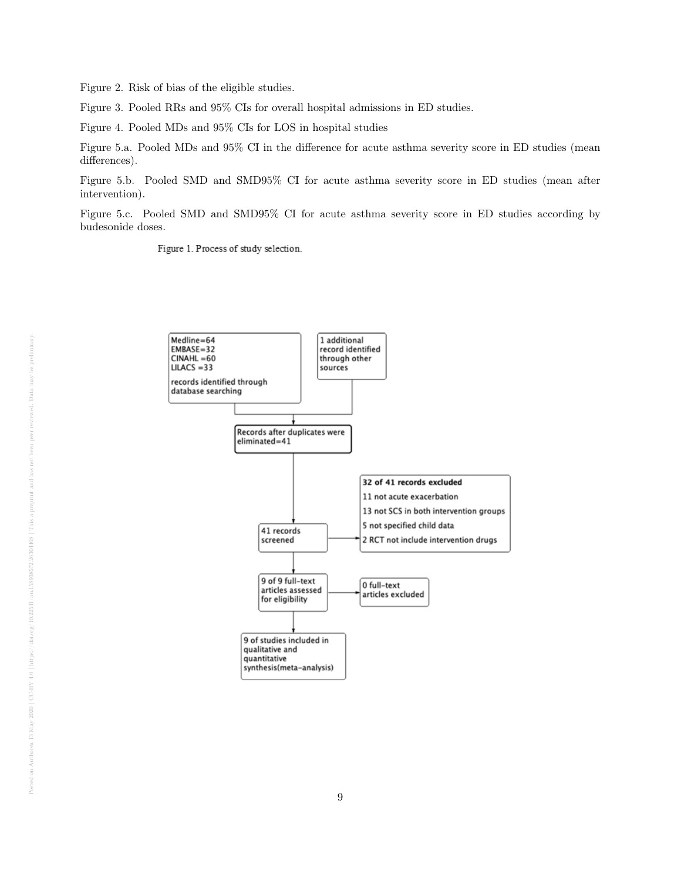Figure 2. Risk of bias of the eligible studies.

Figure 3. Pooled RRs and 95% CIs for overall hospital admissions in ED studies.

Figure 4. Pooled MDs and 95% CIs for LOS in hospital studies

Figure 5.a. Pooled MDs and 95% CI in the difference for acute asthma severity score in ED studies (mean differences).

Figure 5.b. Pooled SMD and SMD95% CI for acute asthma severity score in ED studies (mean after intervention).

Figure 5.c. Pooled SMD and SMD95% CI for acute asthma severity score in ED studies according by budesonide doses.

Figure 1. Process of study selection.

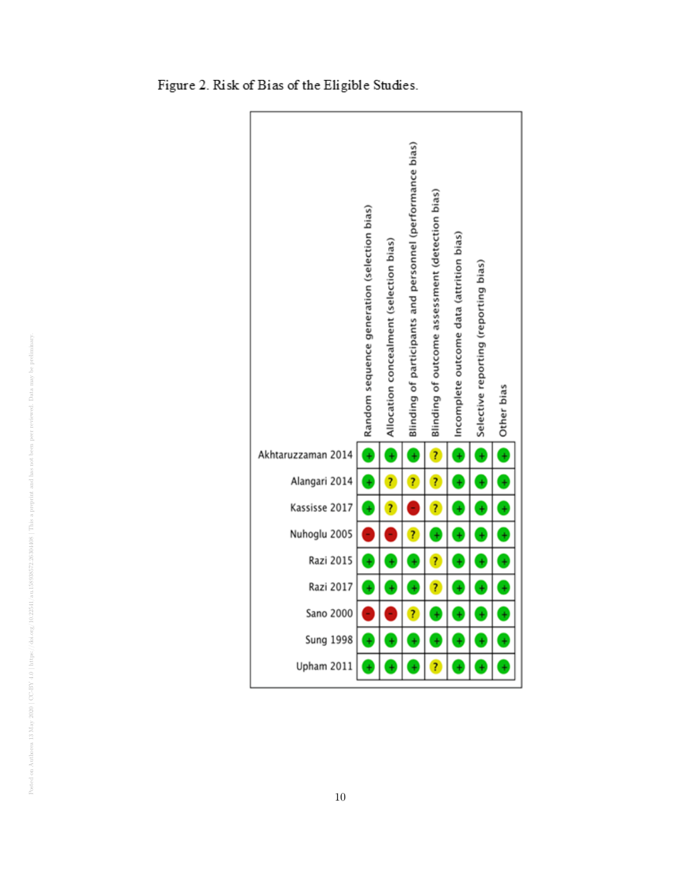

Figure 2. Risk of Bias of the Eligible Studies.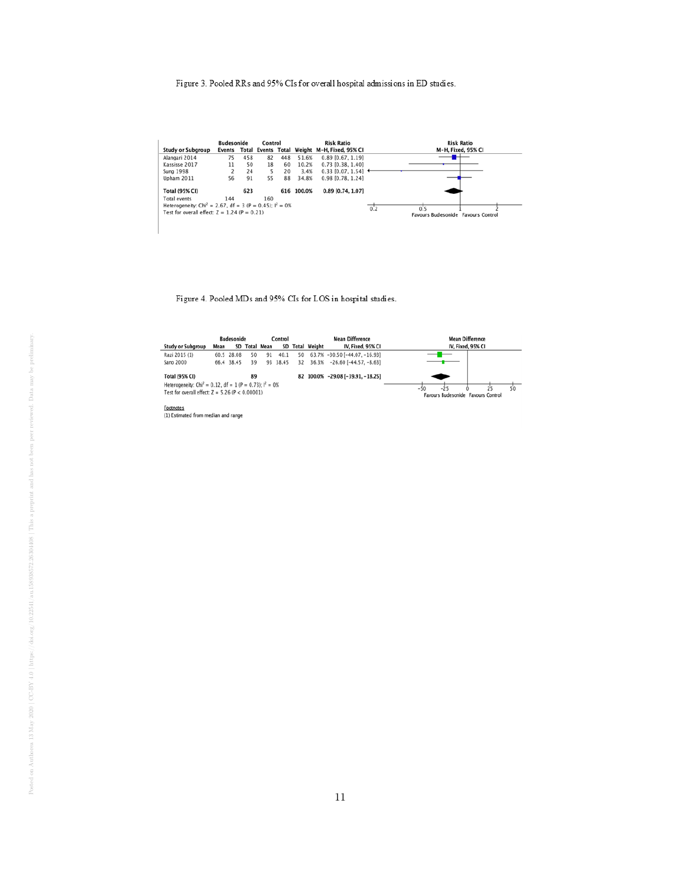# Figure 3. Pooled RRs and 95% CIs for overall hospital admissions in ED studies.

|                                                                        | <b>Budesonide</b><br>Control |     |     |     |            | <b>Risk Ratio</b>                                   | <b>Risk Ratio</b>                  |  |  |
|------------------------------------------------------------------------|------------------------------|-----|-----|-----|------------|-----------------------------------------------------|------------------------------------|--|--|
| <b>Study or Subgroup</b>                                               |                              |     |     |     |            | Events Total Events Total Weight M-H, Fixed, 95% CI | M-H, Fixed, 95% CI                 |  |  |
| Alangari 2014                                                          | 75                           | 458 | 82  | 448 | 51.6%      | $0.89$ [0.67, 1.19]                                 |                                    |  |  |
| Kassisse 2017                                                          | 11                           | 50  | 18  | 60  | 10.2%      | $0.73$ [0.38, 1.40]                                 |                                    |  |  |
| <b>Sung 1998</b>                                                       |                              | 24  | 5.  | 20  | 3.4%       | $0.33$ [0.07, 1.54] $\triangleleft$                 |                                    |  |  |
| <b>Upham 2011</b>                                                      | 56                           | 91  | 55  | 88  | 34.8%      | 0.98 [0.78, 1.24]                                   |                                    |  |  |
| <b>Total (95% CI)</b>                                                  |                              | 623 |     |     | 616 100.0% | 0.89 [0.74, 1.07]                                   |                                    |  |  |
| <b>Total events</b>                                                    | 144                          |     | 160 |     |            |                                                     |                                    |  |  |
| Heterogeneity: Chi <sup>2</sup> = 2.67, df = 3 (P = 0.45); $I^2 = 0$ % |                              |     |     |     |            |                                                     | 0.2<br>0.5                         |  |  |
| Test for overall effect: $Z = 1.24$ (P = 0.21)                         |                              |     |     |     |            |                                                     | Favours Budesonide Favours Control |  |  |
|                                                                        |                              |     |     |     |            |                                                     |                                    |  |  |
|                                                                        |                              |     |     |     |            |                                                     |                                    |  |  |

Figure 4. Pooled MDs and 95% CIs for LOS in hospital studies.

|                                                                       |      | <b>Budesonide</b> |    |               | Control  |    |                                      | <b>Mean Difference</b>            | <b>Mean Difference</b>             |  |  |
|-----------------------------------------------------------------------|------|-------------------|----|---------------|----------|----|--------------------------------------|-----------------------------------|------------------------------------|--|--|
| <b>Study or Subgroup</b>                                              | Mean |                   |    | SD Total Mean |          |    | IV, Fixed, 95% CI<br>SD Total Weight |                                   | IV, Fixed, 95% CI                  |  |  |
| Razi 2015 (1)                                                         |      | 60.5 28.08        | 50 | 91            | 40.1     | 50 |                                      | 63.7% -30.50 [-44.07, -16.93]     |                                    |  |  |
| Sano 2000                                                             |      | 66.4 38.45        | 39 |               | 93 38.45 | 32 |                                      | $36.3\% -26.60$ [-44.57, -8.63]   |                                    |  |  |
| <b>Total (95% CI)</b>                                                 |      |                   | 89 |               |          |    |                                      | 82 100.0% -29.08 [-39.91, -18.25] |                                    |  |  |
| Heterogeneity: Chi <sup>2</sup> = 0.12, df = 1 (P = 0.73); $I^2 = 0%$ |      |                   |    |               |          |    |                                      |                                   | 50<br>$-25$<br>25<br>$-50$         |  |  |
| Test for overall effect: $Z = 5.26$ (P < 0.00001)                     |      |                   |    |               |          |    |                                      |                                   | Favours Budesonide Favours Control |  |  |
| Footnotes                                                             |      |                   |    |               |          |    |                                      |                                   |                                    |  |  |
|                                                                       |      |                   |    |               |          |    |                                      |                                   |                                    |  |  |

(1) Estimated from median and range